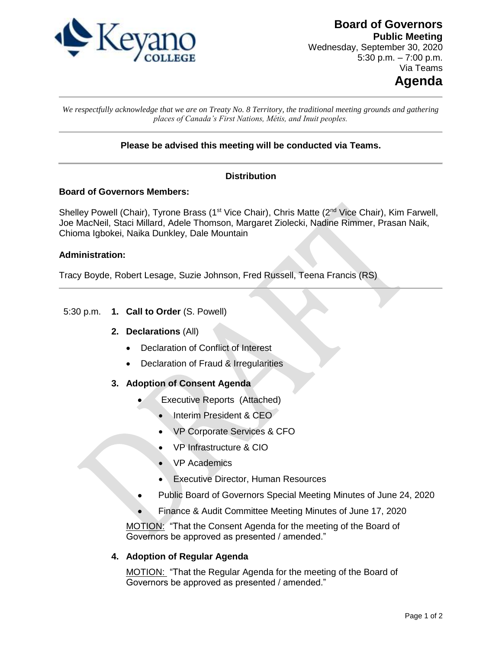

**Board of Governors Public Meeting** Wednesday, September 30, 2020 5:30 p.m.  $-7:00$  p.m. Via Teams

# **Agenda**

*We respectfully acknowledge that we are on Treaty No. 8 Territory, the traditional meeting grounds and gathering places of Canada's First Nations, Métis, and Inuit peoples.*

# **Please be advised this meeting will be conducted via Teams.**

# **Distribution**

#### **Board of Governors Members:**

Shelley Powell (Chair), Tyrone Brass (1<sup>st</sup> Vice Chair), Chris Matte (2<sup>nd</sup> Vice Chair), Kim Farwell, Joe MacNeil, Staci Millard, Adele Thomson, Margaret Ziolecki, Nadine Rimmer, Prasan Naik, Chioma Igbokei, Naika Dunkley, Dale Mountain

#### **Administration:**

Tracy Boyde, Robert Lesage, Suzie Johnson, Fred Russell, Teena Francis (RS)

#### 5:30 p.m. **1. Call to Order** (S. Powell)

#### **2. Declarations** (All)

- Declaration of Conflict of Interest
- Declaration of Fraud & Irregularities
- **3. Adoption of Consent Agenda** 
	- Executive Reports (Attached)
		- Interim President & CEO
		- VP Corporate Services & CFO
		- VP Infrastructure & CIO
		- VP Academics
		- Executive Director, Human Resources
	- Public Board of Governors Special Meeting Minutes of June 24, 2020
	- Finance & Audit Committee Meeting Minutes of June 17, 2020

MOTION: "That the Consent Agenda for the meeting of the Board of Governors be approved as presented / amended."

### **4. Adoption of Regular Agenda**

MOTION: "That the Regular Agenda for the meeting of the Board of Governors be approved as presented / amended."